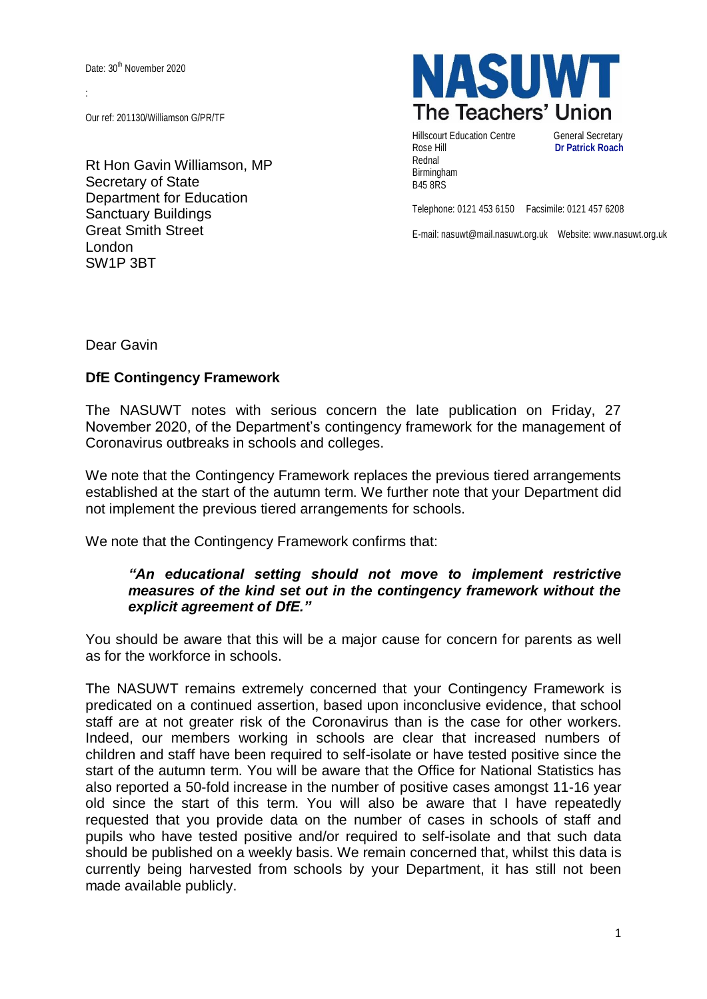Date: 30<sup>th</sup> November 2020

:

Our ref: 201130/Williamson G/PR/TF

Rt Hon Gavin Williamson, MP Secretary of State Department for Education Sanctuary Buildings Great Smith Street London SW1P 3BT



Hillscourt Education Centre General Secretary Rose Hill **Dr Patrick Roach** Rednal Birmingham B45 8RS

Telephone: 0121 453 6150 Facsimile: 0121 457 6208

E-mail: nasuwt@mail.nasuwt.org.uk Website: www.nasuwt.org.uk

Dear Gavin

## **DfE Contingency Framework**

The NASUWT notes with serious concern the late publication on Friday, 27 November 2020, of the Department's contingency framework for the management of Coronavirus outbreaks in schools and colleges.

We note that the Contingency Framework replaces the previous tiered arrangements established at the start of the autumn term. We further note that your Department did not implement the previous tiered arrangements for schools.

We note that the Contingency Framework confirms that:

## *"An educational setting should not move to implement restrictive measures of the kind set out in the contingency framework without the explicit agreement of DfE."*

You should be aware that this will be a major cause for concern for parents as well as for the workforce in schools.

The NASUWT remains extremely concerned that your Contingency Framework is predicated on a continued assertion, based upon inconclusive evidence, that school staff are at not greater risk of the Coronavirus than is the case for other workers. Indeed, our members working in schools are clear that increased numbers of children and staff have been required to self-isolate or have tested positive since the start of the autumn term. You will be aware that the Office for National Statistics has also reported a 50-fold increase in the number of positive cases amongst 11-16 year old since the start of this term. You will also be aware that I have repeatedly requested that you provide data on the number of cases in schools of staff and pupils who have tested positive and/or required to self-isolate and that such data should be published on a weekly basis. We remain concerned that, whilst this data is currently being harvested from schools by your Department, it has still not been made available publicly.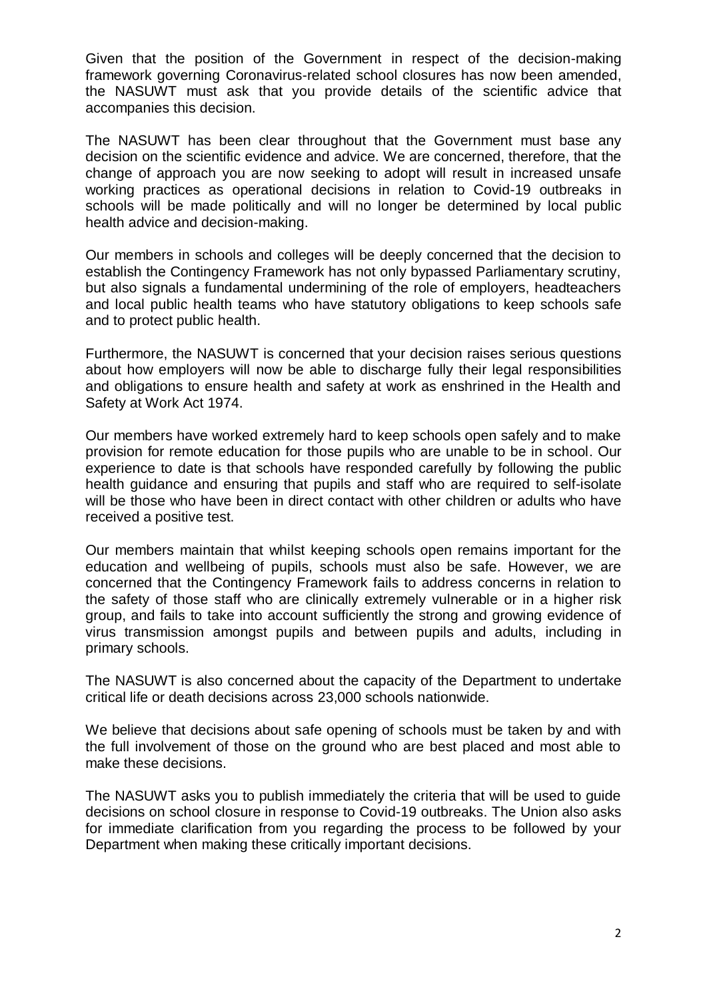Given that the position of the Government in respect of the decision-making framework governing Coronavirus-related school closures has now been amended, the NASUWT must ask that you provide details of the scientific advice that accompanies this decision.

The NASUWT has been clear throughout that the Government must base any decision on the scientific evidence and advice. We are concerned, therefore, that the change of approach you are now seeking to adopt will result in increased unsafe working practices as operational decisions in relation to Covid-19 outbreaks in schools will be made politically and will no longer be determined by local public health advice and decision-making.

Our members in schools and colleges will be deeply concerned that the decision to establish the Contingency Framework has not only bypassed Parliamentary scrutiny, but also signals a fundamental undermining of the role of employers, headteachers and local public health teams who have statutory obligations to keep schools safe and to protect public health.

Furthermore, the NASUWT is concerned that your decision raises serious questions about how employers will now be able to discharge fully their legal responsibilities and obligations to ensure health and safety at work as enshrined in the Health and Safety at Work Act 1974.

Our members have worked extremely hard to keep schools open safely and to make provision for remote education for those pupils who are unable to be in school. Our experience to date is that schools have responded carefully by following the public health guidance and ensuring that pupils and staff who are required to self-isolate will be those who have been in direct contact with other children or adults who have received a positive test.

Our members maintain that whilst keeping schools open remains important for the education and wellbeing of pupils, schools must also be safe. However, we are concerned that the Contingency Framework fails to address concerns in relation to the safety of those staff who are clinically extremely vulnerable or in a higher risk group, and fails to take into account sufficiently the strong and growing evidence of virus transmission amongst pupils and between pupils and adults, including in primary schools.

The NASUWT is also concerned about the capacity of the Department to undertake critical life or death decisions across 23,000 schools nationwide.

We believe that decisions about safe opening of schools must be taken by and with the full involvement of those on the ground who are best placed and most able to make these decisions.

The NASUWT asks you to publish immediately the criteria that will be used to guide decisions on school closure in response to Covid-19 outbreaks. The Union also asks for immediate clarification from you regarding the process to be followed by your Department when making these critically important decisions.